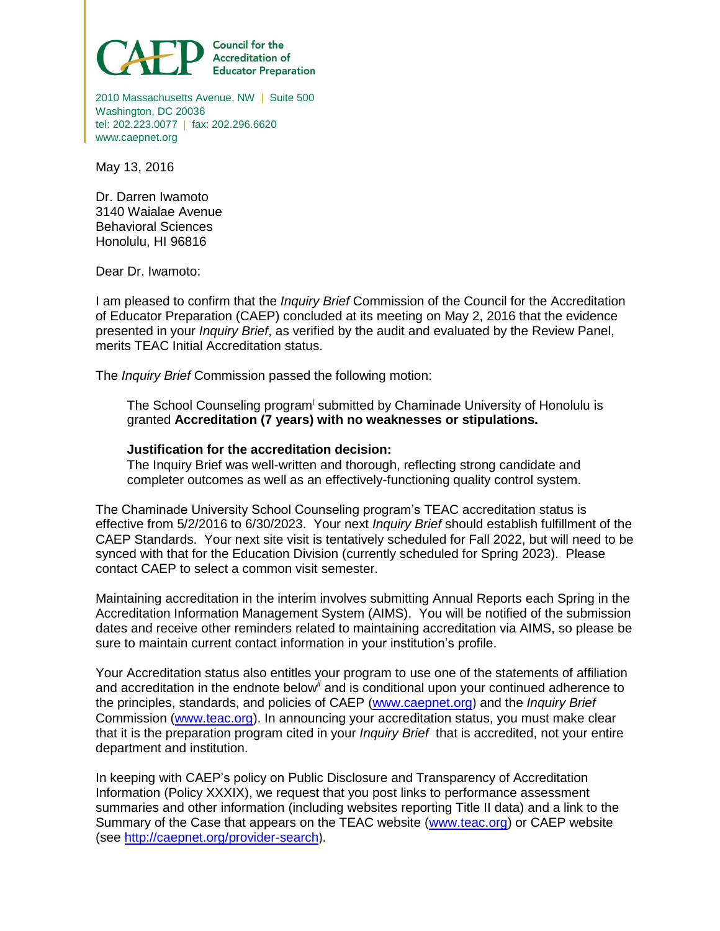

2010 Massachusetts Avenue, NW | Suite 500 Washington, DC 20036 tel: 202.223.0077 | fax: 202.296.6620 www.caepnet.org

May 13, 2016

Dr. Darren Iwamoto 3140 Waialae Avenue Behavioral Sciences Honolulu, HI 96816

Dear Dr. Iwamoto:

I am pleased to confirm that the *Inquiry Brief* Commission of the Council for the Accreditation of Educator Preparation (CAEP) concluded at its meeting on May 2, 2016 that the evidence presented in your *Inquiry Brief*, as verified by the audit and evaluated by the Review Panel, merits TEAC Initial Accreditation status.

The *Inquiry Brief* Commission passed the following motion:

The School Counseling program<sup>i</sup> submitted by Chaminade University of Honolulu is granted **Accreditation (7 years) with no weaknesses or stipulations.**

## **Justification for the accreditation decision:**

The Inquiry Brief was well-written and thorough, reflecting strong candidate and completer outcomes as well as an effectively-functioning quality control system.

The Chaminade University School Counseling program's TEAC accreditation status is effective from 5/2/2016 to 6/30/2023. Your next *Inquiry Brief* should establish fulfillment of the CAEP Standards. Your next site visit is tentatively scheduled for Fall 2022, but will need to be synced with that for the Education Division (currently scheduled for Spring 2023). Please contact CAEP to select a common visit semester.

Maintaining accreditation in the interim involves submitting Annual Reports each Spring in the Accreditation Information Management System (AIMS). You will be notified of the submission dates and receive other reminders related to maintaining accreditation via AIMS, so please be sure to maintain current contact information in your institution's profile.

Your Accreditation status also entitles your program to use one of the statements of affiliation and accreditation in the endnote below*ii* and is conditional upon your continued adherence to the principles, standards, and policies of CAEP (www.caepnet.org) and the *Inquiry Brief* Commission (www.teac.org). In announcing your accreditation status, you must make clear that it is the preparation program cited in your *Inquiry Brief* that is accredited, not your entire department and institution.

In keeping with CAEP's policy on Public Disclosure and Transparency of Accreditation Information (Policy XXXIX), we request that you post links to performance assessment summaries and other information (including websites reporting Title II data) and a link to the Summary of the Case that appears on the TEAC website (www.teac.org) or CAEP website (see http://caepnet.org/provider-search).